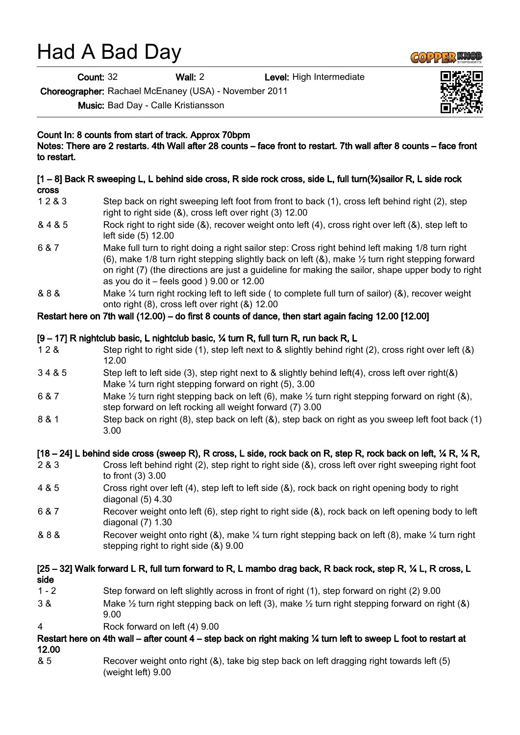# Had A Bad Day

Count: 32 Wall: 2 Level: High Intermediate

Choreographer: Rachael McEnaney (USA) - November 2011

Music: Bad Day - Calle Kristiansson

Count In: 8 counts from start of track. Approx 70bpm

Notes: There are 2 restarts. 4th Wall after 28 counts – face front to restart. 7th wall after 8 counts – face front to restart.

#### [1 – 8] Back R sweeping L, L behind side cross, R side rock cross, side L, full turn(¾)sailor R, L side rock cross

- 1 2 & 3 Step back on right sweeping left foot from front to back (1), cross left behind right (2), step right to right side (&), cross left over right (3) 12.00
- & 4 & 5 Rock right to right side (&), recover weight onto left (4), cross right over left (&), step left to left side (5) 12.00
- 6 & 7 Make full turn to right doing a right sailor step: Cross right behind left making 1/8 turn right (6), make 1/8 turn right stepping slightly back on left  $(8)$ , make  $\frac{1}{2}$  turn right stepping forward on right (7) (the directions are just a guideline for making the sailor, shape upper body to right as you do it – feels good ) 9.00 or 12.00
- & 8 & Make ¼ turn right rocking left to left side ( to complete full turn of sailor) (&), recover weight onto right (8), cross left over right (&) 12.00

#### Restart here on 7th wall (12.00) – do first 8 counts of dance, then start again facing 12.00 [12.00]

#### [9 – 17] R nightclub basic, L nightclub basic, ¼ turn R, full turn R, run back R, L

- 1 2 & Step right to right side (1), step left next to & slightly behind right (2), cross right over left (&) 12.00
- 3 4 & 5 Step left to left side (3), step right next to & slightly behind left(4), cross left over right(&) Make ¼ turn right stepping forward on right (5), 3.00
- 6 & 7 Make ½ turn right stepping back on left (6), make ½ turn right stepping forward on right (&), step forward on left rocking all weight forward (7) 3.00
- 8 & 1 Step back on right (8), step back on left (&), step back on right as you sweep left foot back (1) 3.00

### [18 – 24] L behind side cross (sweep R), R cross, L side, rock back on R, step R, rock back on left,  $\frac{1}{4}$  R,  $\frac{1}{4}$  R,

- 2 & 3 Cross left behind right (2), step right to right side (&), cross left over right sweeping right foot to front (3) 3.00
- 4 & 5 Cross right over left (4), step left to left side (&), rock back on right opening body to right diagonal (5) 4.30
- 6 & 7 Recover weight onto left (6), step right to right side (&), rock back on left opening body to left diagonal (7) 1.30
- & 8 & Recover weight onto right (&), make ¼ turn right stepping back on left (8), make ¼ turn right stepping right to right side (&) 9.00

## [25 – 32] Walk forward L R, full turn forward to R, L mambo drag back, R back rock, step R, ¼ L, R cross, L side

- 1 2 Step forward on left slightly across in front of right (1), step forward on right (2) 9.00
- 3 & Make  $\frac{1}{2}$  turn right stepping back on left (3), make  $\frac{1}{2}$  turn right stepping forward on right (&) 9.00
- 4 Rock forward on left (4) 9.00

## Restart here on 4th wall – after count 4 – step back on right making ¼ turn left to sweep L foot to restart at 12.00

& 5 Recover weight onto right (&), take big step back on left dragging right towards left (5) (weight left) 9.00